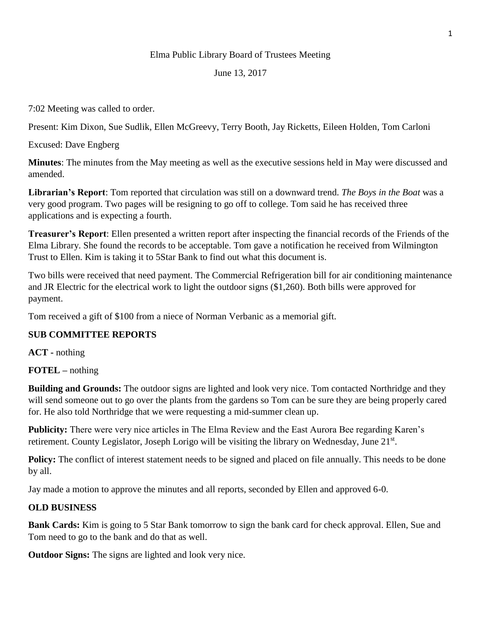### Elma Public Library Board of Trustees Meeting

#### June 13, 2017

7:02 Meeting was called to order.

Present: Kim Dixon, Sue Sudlik, Ellen McGreevy, Terry Booth, Jay Ricketts, Eileen Holden, Tom Carloni

Excused: Dave Engberg

**Minutes**: The minutes from the May meeting as well as the executive sessions held in May were discussed and amended.

**Librarian's Report**: Tom reported that circulation was still on a downward trend. *The Boys in the Boat* was a very good program. Two pages will be resigning to go off to college. Tom said he has received three applications and is expecting a fourth.

**Treasurer's Report**: Ellen presented a written report after inspecting the financial records of the Friends of the Elma Library. She found the records to be acceptable. Tom gave a notification he received from Wilmington Trust to Ellen. Kim is taking it to 5Star Bank to find out what this document is.

Two bills were received that need payment. The Commercial Refrigeration bill for air conditioning maintenance and JR Electric for the electrical work to light the outdoor signs (\$1,260). Both bills were approved for payment.

Tom received a gift of \$100 from a niece of Norman Verbanic as a memorial gift.

# **SUB COMMITTEE REPORTS**

**ACT -** nothing

**FOTEL –** nothing

**Building and Grounds:** The outdoor signs are lighted and look very nice. Tom contacted Northridge and they will send someone out to go over the plants from the gardens so Tom can be sure they are being properly cared for. He also told Northridge that we were requesting a mid-summer clean up.

**Publicity:** There were very nice articles in The Elma Review and the East Aurora Bee regarding Karen's retirement. County Legislator, Joseph Lorigo will be visiting the library on Wednesday, June 21<sup>st</sup>.

**Policy:** The conflict of interest statement needs to be signed and placed on file annually. This needs to be done by all.

Jay made a motion to approve the minutes and all reports, seconded by Ellen and approved 6-0.

# **OLD BUSINESS**

**Bank Cards:** Kim is going to 5 Star Bank tomorrow to sign the bank card for check approval. Ellen, Sue and Tom need to go to the bank and do that as well.

**Outdoor Signs:** The signs are lighted and look very nice.